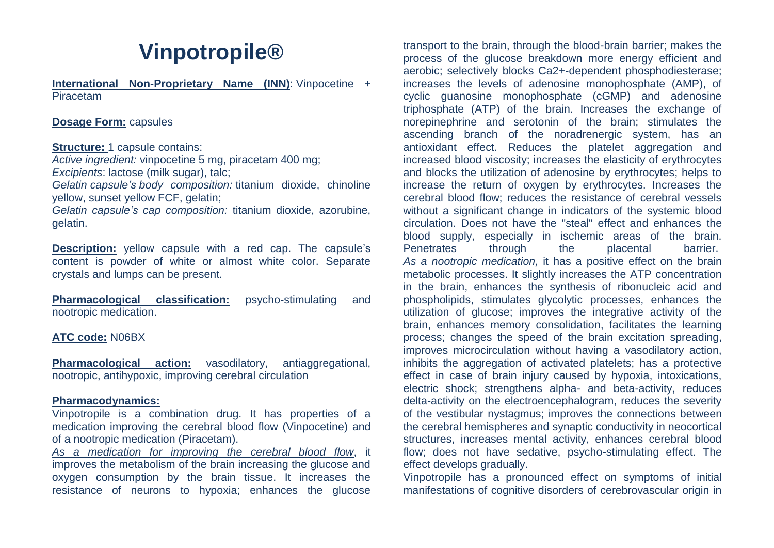# **Vinpotropile®**

**International Non-Proprietary Name (INN)**: Vinpocetine + Piracetam

## **Dosage Form:** capsules

#### **Structure:** 1 capsule contains:

*Active ingredient:* vinpocetine 5 mg, piracetam 400 mg; *Excipients*: lactose (milk sugar), talc;

*Gelatin capsule's body composition:* titanium dioxide, chinoline yellow, sunset yellow FCF, gelatin;

*Gelatin capsule's cap composition:* titanium dioxide, azorubine, gelatin.

**Description:** yellow capsule with a red cap. The capsule's content is powder of white or almost white color. Separate crystals and lumps can be present.

**Pharmacological classification:** psycho-stimulating and nootropic medication.

## **ATC code:** N06BX

**Pharmacological action:** vasodilatory, antiaggregational, nootropic, antihypoxic, improving cerebral circulation

#### **Pharmacodynamics:**

Vinpotropile is a combination drug. It has properties of a medication improving the cerebral blood flow (Vinpocetine) and of a nootropic medication (Piracetam).

*As a medication for improving the cerebral blood flow*, it improves the metabolism of the brain increasing the glucose and oxygen consumption by the brain tissue. It increases the resistance of neurons to hypoxia; enhances the glucose

transport to the brain, through the blood-brain barrier; makes the process of the glucose breakdown more energy efficient and aerobic; selectively blocks Ca2+-dependent phosphodiesterase; increases the levels of adenosine monophosphate (AMP), of cyclic guanosine monophosphate (cGMP) and adenosine triphosphate (ATP) of the brain. Increases the exchange of norepinephrine and serotonin of the brain; stimulates the ascending branch of the noradrenergic system, has an antioxidant effect. Reduces the platelet aggregation and increased blood viscosity; increases the elasticity of erythrocytes and blocks the utilization of adenosine by erythrocytes; helps to increase the return of oxygen by erythrocytes. Increases the cerebral blood flow; reduces the resistance of cerebral vessels without a significant change in indicators of the systemic blood circulation. Does not have the "steal" effect and enhances the blood supply, especially in ischemic areas of the brain. Penetrates through the placental barrier. *As a nootropic medication,* it has a positive effect on the brain metabolic processes. It slightly increases the ATP concentration in the brain, enhances the synthesis of ribonucleic acid and phospholipids, stimulates glycolytic processes, enhances the utilization of glucose; improves the integrative activity of the brain, enhances memory consolidation, facilitates the learning process; changes the speed of the brain excitation spreading, improves microcirculation without having a vasodilatory action, inhibits the aggregation of activated platelets; has a protective effect in case of brain injury caused by hypoxia, intoxications, electric shock; strengthens alpha- and beta-activity, reduces delta-activity on the electroencephalogram, reduces the severity of the vestibular nystagmus; improves the connections between the cerebral hemispheres and synaptic conductivity in neocortical structures, increases mental activity, enhances cerebral blood flow; does not have sedative, psycho-stimulating effect. The effect develops gradually.

Vinpotropile has a pronounced effect on symptoms of initial manifestations of cognitive disorders of cerebrovascular origin in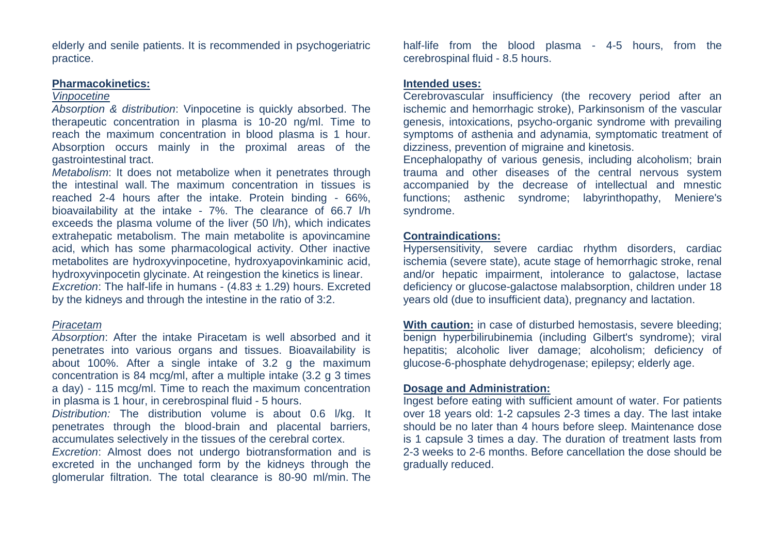elderly and senile patients. It is recommended in psychogeriatric practice.

#### **Pharmacokinetics:**

#### *Vinpocetine*

*Absorption & distribution*: Vinpocetine is quickly absorbed. The therapeutic concentration in plasma is 10-20 ng/ml. Time to reach the maximum concentration in blood plasma is 1 hour. Absorption occurs mainly in the proximal areas of the gastrointestinal tract.

*Metabolism*: It does not metabolize when it penetrates through the intestinal wall. The maximum concentration in tissues is reached 2-4 hours after the intake. Protein binding - 66%, bioavailability at the intake - 7%. The clearance of 66.7 l/h exceeds the plasma volume of the liver (50 l/h), which indicates extrahepatic metabolism. The main metabolite is apovincamine acid, which has some pharmacological activity. Other inactive metabolites are hydroxyvinpocetine, hydroxyapovinkaminic acid, hydroxyvinpocetin glycinate. At reingestion the kinetics is linear. *Excretion*: The half-life in humans - (4.83 ± 1.29) hours. Excreted by the kidneys and through the intestine in the ratio of 3:2.

### *Piracetam*

*Absorption*: After the intake Piracetam is well absorbed and it penetrates into various organs and tissues. Bioavailability is about 100%. After a single intake of 3.2 g the maximum concentration is 84 mcg/ml, after a multiple intake (3.2 g 3 times a day) - 115 mcg/ml. Time to reach the maximum concentration in plasma is 1 hour, in cerebrospinal fluid - 5 hours.

*Distribution:* The distribution volume is about 0.6 l/kg. It penetrates through the blood-brain and placental barriers, accumulates selectively in the tissues of the cerebral cortex.

*Excretion*: Almost does not undergo biotransformation and is excreted in the unchanged form by the kidneys through the glomerular filtration. The total clearance is 80-90 ml/min. The half-life from the blood plasma - 4-5 hours, from the cerebrospinal fluid - 8.5 hours.

## **Intended uses:**

Cerebrovascular insufficiency (the recovery period after an ischemic and hemorrhagic stroke), Parkinsonism of the vascular genesis, intoxications, psycho-organic syndrome with prevailing symptoms of asthenia and adynamia, symptomatic treatment of dizziness, prevention of migraine and kinetosis.

Encephalopathy of various genesis, including alcoholism; brain trauma and other diseases of the central nervous system accompanied by the decrease of intellectual and mnestic functions; asthenic syndrome; labyrinthopathy, Meniere's syndrome.

## **Contraindications:**

Hypersensitivity, severe cardiac rhythm disorders, cardiac ischemia (severe state), acute stage of hemorrhagic stroke, renal and/or hepatic impairment, intolerance to galactose, lactase deficiency or glucose-galactose malabsorption, children under 18 years old (due to insufficient data), pregnancy and lactation.

**With caution:** in case of disturbed hemostasis, severe bleeding; benign hyperbilirubinemia (including Gilbert's syndrome); viral hepatitis; alcoholic liver damage; alcoholism; deficiency of glucose-6-phosphate dehydrogenase; epilepsy; elderly age.

# **Dosage and Administration:**

Ingest before eating with sufficient amount of water. For patients over 18 years old: 1-2 capsules 2-3 times a day. The last intake should be no later than 4 hours before sleep. Maintenance dose is 1 capsule 3 times a day. The duration of treatment lasts from 2-3 weeks to 2-6 months. Before cancellation the dose should be gradually reduced.